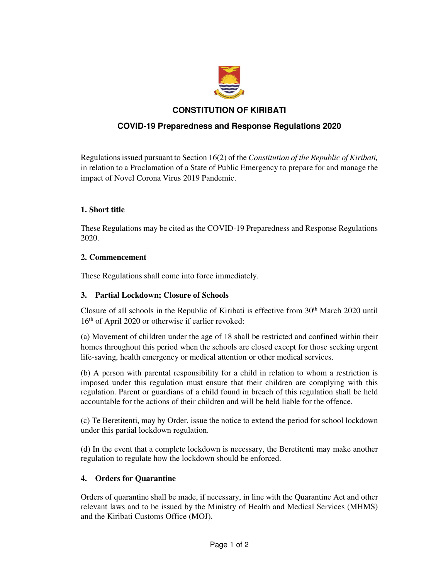

## **CONSTITUTION OF KIRIBATI**

# **COVID-19 Preparedness and Response Regulations 2020**

Regulations issued pursuant to Section 16(2) of the *Constitution of the Republic of Kiribati,* in relation to a Proclamation of a State of Public Emergency to prepare for and manage the impact of Novel Corona Virus 2019 Pandemic.

#### **1. Short title**

These Regulations may be cited as the COVID-19 Preparedness and Response Regulations 2020.

#### **2. Commencement**

These Regulations shall come into force immediately.

## **3. Partial Lockdown; Closure of Schools**

Closure of all schools in the Republic of Kiribati is effective from 30th March 2020 until 16th of April 2020 or otherwise if earlier revoked:

(a) Movement of children under the age of 18 shall be restricted and confined within their homes throughout this period when the schools are closed except for those seeking urgent life-saving, health emergency or medical attention or other medical services.

(b) A person with parental responsibility for a child in relation to whom a restriction is imposed under this regulation must ensure that their children are complying with this regulation. Parent or guardians of a child found in breach of this regulation shall be held accountable for the actions of their children and will be held liable for the offence.

(c) Te Beretitenti, may by Order, issue the notice to extend the period for school lockdown under this partial lockdown regulation.

(d) In the event that a complete lockdown is necessary, the Beretitenti may make another regulation to regulate how the lockdown should be enforced.

## **4. Orders for Quarantine**

Orders of quarantine shall be made, if necessary, in line with the Quarantine Act and other relevant laws and to be issued by the Ministry of Health and Medical Services (MHMS) and the Kiribati Customs Office (MOJ).